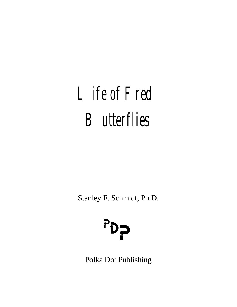# Life of Fred **Butterflies**

Stanley F. Schmidt, Ph.D.



Polka Dot Publishing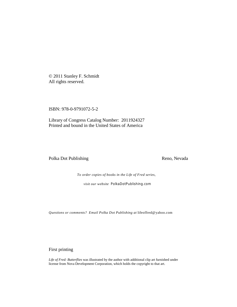© 2011 Stanley F. Schmidt All rights reserved.

ISBN: 978-0-9791072-5-2

Library of Congress Catalog Number: 2011924327 Printed and bound in the United States of America

Polka Dot Publishing Reno, Nevada

*To order copies of books in the Life of Fred series,*

*visit our website* PolkaDotPublishing.com

*Questions or comments? Email Polka Dot Publishing at* lifeoffred@yahoo.com

First printing

*Life of Fred: Butterflies* was illustrated by the author with additional clip art furnished under license from Nova Development Corporation, which holds the copyright to that art.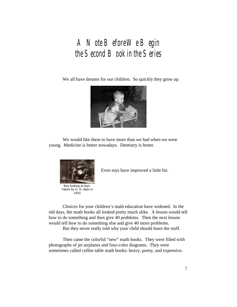## A Note BeforeWe Begin the Second Book in the Series

We all have dreams for our children. So quickly they grow up.



We would like them to have more than we had when we were young. Medicine is better nowadays. Dentistry is better.



Boy looking at toys. Taken by G. G. Bain in 1910

Even toys have improved a little bit.

Choices for your children's math education have widened. In the old days, the math books all looked pretty much alike. A lesson would tell how to do something and then give 40 problems. Then the next lesson would tell how to do something else and give 40 more problems.

But they never really told why your child should learn the stuff.

Then came the colorful "new" math books. They were filled with photographs of jet airplanes and four-color diagrams. They were sometimes called coffee table math books: heavy, pretty, and expensive.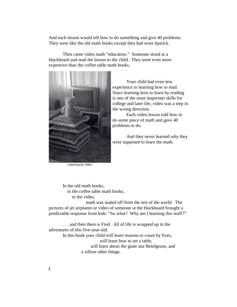And each lesson would tell how to do something and give 40 problems. They were like the old math books except they had wore lipstick.

Then came video math "education." Someone stood at a blackboard and read the lesson to the child. They were even more expensive than the coffee table math books.



Learning by video

Your child had even less experience in learning how to read. Since learning how to learn by reading is one of the most important skills for college and later life, video was a step in the wrong direction.

Each video lesson told how to do some piece of math and gave 40 problems to do.

And they never learned why they were supposed to learn the math.

In the old math books, in the coffee table math books, in the video,

 math was sealed off from the rest of the world. The pictures of jet airplanes or video of someone at the blackboard brought a predictable response from kids: "So what? Why am I learning this stuff?"

. . . and then there is Fred. All of life is wrapped up in the adventures of this five-year-old. In this book your child will learn reasons to count by fives, will learn how to set a table,

will learn about the giant star Betelgeuse, and a zillion other things.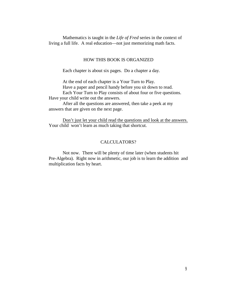Mathematics is taught in the *Life of Fred* series in the context of living a full life. A real education—not just memorizing math facts.

#### HOW THIS BOOK IS ORGANIZED

Each chapter is about six pages. Do a chapter a day.

At the end of each chapter is a Your Turn to Play.

Have a paper and pencil handy before you sit down to read.

Each Your Turn to Play consists of about four or five questions. Have your child write out the answers.

After all the questions are answered, then take a peek at my answers that are given on the next page.

Don't just let your child read the questions and look at the answers. Your child won't learn as much taking that shortcut.

#### CALCULATORS?

Not now. There will be plenty of time later (when students hit Pre-Algebra). Right now in arithmetic, our job is to learn the addition and multiplication facts by heart.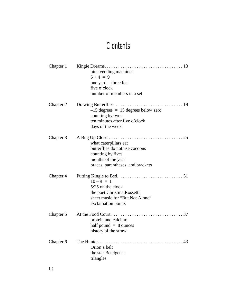## **Contents**

| Chapter 1 | nine vending machines<br>$5 + 4 = 9$<br>one yard $=$ three feet<br>five o'clock<br>number of members in a set                           |
|-----------|-----------------------------------------------------------------------------------------------------------------------------------------|
| Chapter 2 | $-15$ degrees = 15 degrees below zero<br>counting by twos<br>ten minutes after five o'clock<br>days of the week                         |
| Chapter 3 | what caterpillars eat<br>butterflies do not use cocoons<br>counting by fives<br>months of the year<br>braces, parentheses, and brackets |
| Chapter 4 | $10-9 = 1$<br>5:25 on the clock<br>the poet Christina Rossetti<br>sheet music for "But Not Alone"<br>exclamation points                 |
| Chapter 5 | protein and calcium<br>half pound $= 8$ ounces<br>history of the straw                                                                  |
| Chapter 6 | Orion's belt<br>the star Betelgeuse<br>triangles                                                                                        |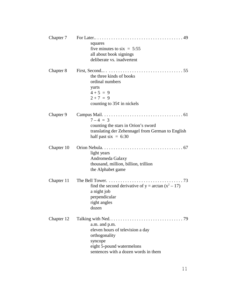|            | squares<br>five minutes to $six = 5:55$<br>all about book signings<br>deliberate vs. inadvertent                                                         |
|------------|----------------------------------------------------------------------------------------------------------------------------------------------------------|
| Chapter 8  | the three kinds of books<br>ordinal numbers<br>yurts<br>$4 + 5 = 9$<br>$2 + 7 = 9$<br>counting to $35¢$ in nickels                                       |
| Chapter 9  | $7 - 4 = 3$<br>counting the stars in Orion's sword<br>translating der Zehennagel from German to English<br>half past six $= 6:30$                        |
| Chapter 10 | light years<br>Andromeda Galaxy<br>thousand, million, billion, trillion<br>the Alphabet game                                                             |
| Chapter 11 | find the second derivative of $y = \arctan(x^2 - 17)$<br>a night job<br>perpendicular<br>right angles<br>dozen                                           |
| Chapter 12 | 79<br>a.m. and p.m.<br>eleven hours of television a day<br>orthogonality<br>syncope<br>eight 5-pound watermelons<br>sentences with a dozen words in them |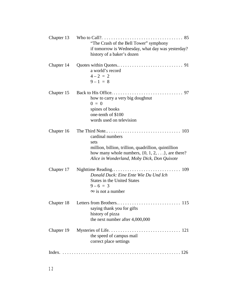| Chapter 13      | "The Crash of the Bell Tower" symphony<br>if tomorrow is Wednesday, what day was yesterday?<br>history of a baker's dozen                                                                     |
|-----------------|-----------------------------------------------------------------------------------------------------------------------------------------------------------------------------------------------|
| Chapter 14      | a world's record<br>$4-2 = 2$<br>$9 - 1 = 8$                                                                                                                                                  |
| Chapter 15      | how to carry a very big doughnut<br>$0 = 0$<br>spines of books<br>one-tenth of \$100<br>words used on television                                                                              |
| Chapter 16      | cardinal numbers<br>sets<br>million, billion, trillion, quadrillion, quintillion<br>how many whole numbers, $\{0, 1, 2, \ldots\}$ , are there?<br>Alice in Wonderland, Moby Dick, Don Quixote |
| Chapter 17      | Donald Duck: Eine Ente Wie Du Und Ich<br><b>States in the United States</b><br>$9-6 = 3$<br>$\infty$ is not a number                                                                          |
| Chapter 18      | saying thank you for gifts<br>history of pizza<br>the next number after 4,000,000                                                                                                             |
| Chapter 19      | the speed of campus mail<br>correct place settings                                                                                                                                            |
| Index. $\ldots$ |                                                                                                                                                                                               |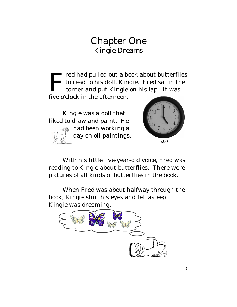### Chapter One Kingie Dreams

 $\prod_{\text{five}}$ red had pulled out a book about butterflies to read to his doll, Kingie. Fred sat in the corner and put Kingie on his lap. It was five o'clock in the afternoon.

Kingie was a doll that liked to draw and paint. He



had been working all day on oil paintings.



With his little five-year-old voice, Fred was reading to Kingie about butterflies. There were pictures of all kinds of butterflies in the book.

When Fred was about halfway through the book, Kingie shut his eyes and fell asleep. Kingie was dreaming.

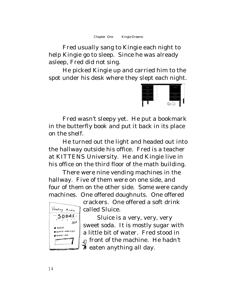*Chapter One Kingie Dreams*

Fred usually sang to Kingie each night to help Kingie go to sleep. Since he was already asleep, Fred did not sing.

He picked Kingie up and carried him to the spot under his desk where they slept each night.



Fred wasn't sleepy yet. He put a bookmark in the butterfly book and put it back in its place on the shelf.

He turned out the light and headed out into the hallway outside his office. Fred is a teacher at KITTENS University. He and Kingie live in his office on the third floor of the math building.

There were nine vending machines in the hallway. Five of them were on one side, and four of them on the other side. Some were candy machines. One offered doughnuts. One offered



crackers. One offered a soft drink called Sluice.

Sluice is a very, very, very sweet soda. It is mostly sugar with a little bit of water. Fred stood in  $F_{\text{F}}$  front of the machine. He hadn't ₩ eaten anything all day.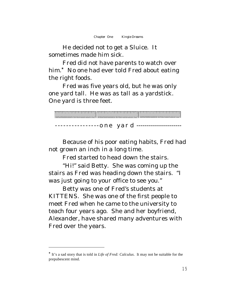He decided not to get a Sluice. It sometimes made him sick.

Fred did not have parents to watch over  $h$ im. $*$  No one had ever told Fred about eating the right foods.

Fred was five years old, but he was only one yard tall. He was as tall as a yardstick. One yard is three feet.

|  |  |                          |  |  |  |  |  |  |  |  |  |  |  |  | 0 1 2 3 4 5 6 7 6 9 6 7 9 9 0 1 2 3 4 5 6 7 8 9 10 1 2 3 4 5 6 7 8 9 10 11 |  |  |  |  |  |  |  |  |
|--|--|--------------------------|--|--|--|--|--|--|--|--|--|--|--|--|----------------------------------------------------------------------------|--|--|--|--|--|--|--|--|
|  |  | ----------------one yard |  |  |  |  |  |  |  |  |  |  |  |  |                                                                            |  |  |  |  |  |  |  |  |

Because of his poor eating habits, Fred had not grown an inch in a long time.

Fred started to head down the stairs.

"Hi!" said Betty. She was coming up the stairs as Fred was heading down the stairs. "I was just going to your office to see you."

Betty was one of Fred's students at KITTENS. She was one of the first people to meet Fred when he came to the university to teach four years ago. She and her boyfriend, Alexander, have shared many adventures with Fred over the years.

<sup>\*</sup> It's a sad story that is told in *Life of Fred: Calculus*. It may not be suitable for the prepubescent mind.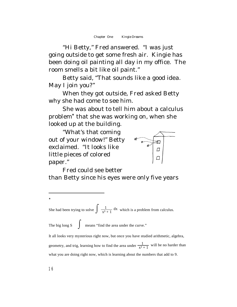"Hi Betty," Fred answered. "I was just going outside to get some fresh air. Kingie has been doing oil painting all day in my office. The room smells a bit like oil paint."

Betty said, "That sounds like a good idea. May I join you?"

When they got outside, Fred asked Betty why she had come to see him.

She was about to tell him about a calculus  $problem<sup>*</sup> that she was working on, when she$ looked up at the building.

"What's that coming out of your window!" Betty exclaimed. "It looks like little pieces of colored paper."



Fred could see better than Betty since his eyes were only five years

She had been trying to solve  $\int \frac{1}{x^3 + 1} dx$  which is a problem from calculus.

The big long  $S \int$  means "find the area under the curve."

It all looks very mysterious right now, but once you have studied arithmetic, algebra, geometry, and trig, learning how to find the area under  $\frac{1}{x^3+1}$  will be no harder than what you are doing right now, which is learning about the numbers that add to 9.

 $\ast$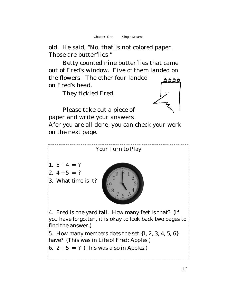old. He said, "No, that is not colored paper. Those are butterflies."

Betty counted nine butterflies that came out of Fred's window. Five of them landed on the flowers. The other four landed on Fred's head.

They tickled Fred.



Please take out a piece of paper and write your answers.

Afer you are all done, you can check your work on the next page.

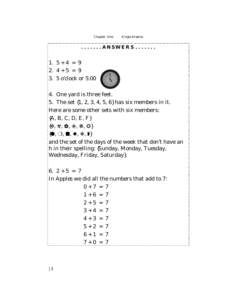*Chapter One Kingie Dreams* **. . . . . . . A N S W E R S . . . . . . .** 1.  $5 + 4 = 9$ 2.  $4 + 5 = 9$ 3. 5 o'clock or 5:00 4. One yard is three feet. 5. The set {1, 2, 3, 4, 5, 6} has six members in it. Here are some other sets with six members: {A, B, C, D, E, F}  $\{*,*,*,\, \Omega, \, \Re, \, \Re, \, \Omega\}$  ${, \bigcirc, \blacksquare, \blacklozenge, \diamondsuit, \blacktriangleright}$ and the set of the days of the week that don't have an *h* in their spelling: {Sunday, Monday, Tuesday, Wednesday, Friday, Saturday}. 6.  $2 + 5 = 7$ In *Apples* we did all the numbers that add to 7:  $0 + 7 = 7$  $1 + 6 = 7$  $2 + 5 = 7$  $3 + 4 = 7$  $4 + 3 = 7$  $5 + 2 = 7$  $6 + 1 = 7$ 

 $7 + 0 = 7$ 

18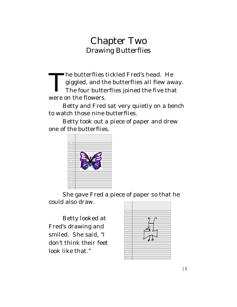T he butterflies tickled Fred's head. He giggled, and the butterflies all flew away. The four butterflies joined the five that were on the flowers.

Betty and Fred sat very quietly on a bench to watch those nine butterflies.

Betty took out a piece of paper and drew one of the butterflies.



She gave Fred a piece of paper so that he could also draw.

Betty looked at Fred's drawing and smiled. She said, "I don't think their feet look like that."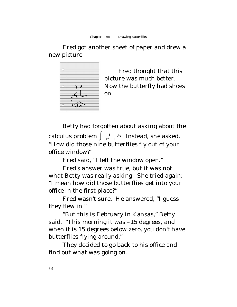Fred got another sheet of paper and drew a new picture.



Fred thought that this picture was much better. Now the butterfly had shoes on.

Betty had forgotten about asking about the calculus problem  $\int \frac{1}{x^3+1} \, \text{d}x$  . Instead, she asked, "How did those nine butterflies fly out of your office window?"

Fred said, "I left the window open."

Fred's answer was true, but it was not what Betty was really asking. She tried again: "I mean how did those butterflies get into your office in the first place?"

Fred wasn't sure. He answered, "I guess they flew in."

"But this is February in Kansas," Betty said. "This morning it was –15 degrees, and when it is 15 degrees below zero, you don't have butterflies flying around."

They decided to go back to his office and find out what was going on.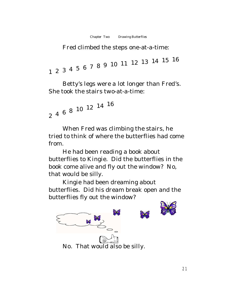Fred climbed the steps one-at-a-time:

<sup>1</sup> <sup>2</sup> <sup>3</sup> <sup>4</sup> <sup>5</sup> <sup>6</sup> <sup>7</sup> <sup>8</sup> <sup>9</sup> <sup>10</sup> <sup>11</sup> <sup>12</sup> <sup>13</sup> <sup>14</sup> <sup>15</sup> <sup>16</sup>

Betty's legs were a lot longer than Fred's. She took the stairs two-at-a-time:

```
\begin{smallmatrix}2& 4 & 6 & 8 & 10 & 12 & 14 & 16\end{smallmatrix}
```
When Fred was climbing the stairs, he tried to think of where the butterflies had come from.

He had been reading a book about butterflies to Kingie. Did the butterflies in the book come alive and fly out the window? No, that would be silly.

Kingie had been dreaming about butterflies. Did his dream break open and the butterflies fly out the window?

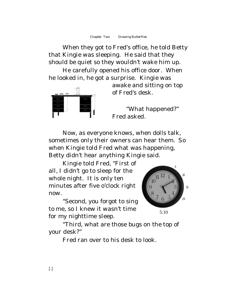When they got to Fred's office, he told Betty that Kingie was sleeping. He said that they should be quiet so they wouldn't wake him up.

He carefully opened his office door. When he looked in, he got a surprise. Kingie was



awake and sitting on top of Fred's desk.

"What happened?" Fred asked.

Now, as everyone knows, when dolls talk, sometimes only their owners can hear them. So when Kingie told Fred what was happening, Betty didn't hear anything Kingie said.

Kingie told Fred, "First of all, I didn't go to sleep for the whole night. It is only ten minutes after five o'clock right now.

"Second, you forgot to sing to me, so I knew it wasn't time for my nighttime sleep.



"Third, what are those bugs on the top of your desk?"

Fred ran over to his desk to look.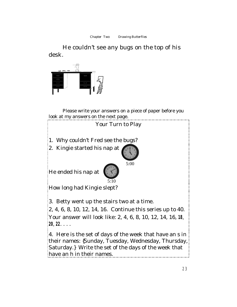He couldn't see any bugs on the top of his desk.



Please write your answers on a piece of paper before you look at my answers on the next page.

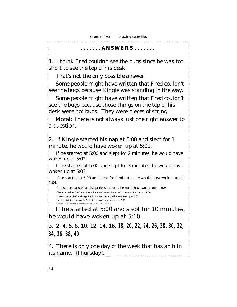#### **. . . . . . . A N S W E R S . . . . . . .**

1. I think Fred couldn't see the bugs since he was too short to see the top of his desk.

That's not the only possible answer.

Some people might have written that Fred couldn't see the bugs because Kingie was standing in the way.

Some people might have written that Fred couldn't see the bugs because those things on the top of his desk were not bugs. They were pieces of string.

Moral: There is not always just one right answer to a question.

2. If Kingie started his nap at 5:00 and slept for 1 minute, he would have woken up at 5:01.

If he started at 5:00 and slept for 2 minutes, he would have woken up at 5:02.

If he started at 5:00 and slept for 3 minutes, he would have woken up at 5:03.

If he started at 5:00 and slept for 4 minutes, he would have woken up at 5:04.

If he started at 5:00 and slept for 5 minutes, he would have woken up at 5:05. If he started at 5:00 and slept for 6 minutes, he would have woken up at 5:06. If he started at 5:00 and slept for 7 minutes, he would have woken up at 5:07. If he started at 5:00 and slept for 8 minutes, he would have woken up at 5:08. If he started at 5:00 and slept for 9 minutes, he would have woken up at 5:09

If he started at 5:00 and slept for 10 minutes, he would have woken up at 5:10.

3. 2, 4, 6, 8, 10, 12, 14, 16, **18**, **20**, **22**, **24**, **26**, **28**, **30**, **32**, **34**, **36**, **38**, **40**

4. There is only one day of the week that has an *h* in its name. {Thursday}.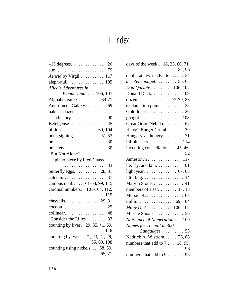# Index

| Aeneid by Virgil 117                                   |
|--------------------------------------------------------|
|                                                        |
| Alice's Adventures in                                  |
| Wonderland. 106, 107                                   |
| Alphabet game 69-71                                    |
| Andromeda Galaxy.  69                                  |
| baker's dozen                                          |
| a history. $\dots \dots \dots \dots$ . 90              |
| Betelgeuse. 45                                         |
|                                                        |
|                                                        |
| $braces. \ldots \ldots \ldots \ldots \ldots \ldots 30$ |
| brackets. $\ldots \ldots \ldots \ldots \ldots$ 30      |
| "But Not Alone"                                        |
| piano piece by Fred Gauss                              |
| . 33                                                   |
| butterfly eggs. $\ldots \ldots \ldots$ 28, 31          |
| calcium 37                                             |
| campus mail 61-63, 99, 115                             |
| cardinal numbers. . 101-104, 112,                      |
| 119                                                    |
|                                                        |
| $\cosh \ldots \ldots \ldots \ldots \ldots \ldots 29$   |
| collinear. 48                                          |
| "Consider the Lilies". 33                              |
| counting by fives. 29, 35, 41, 69,                     |
| 118                                                    |
| counting by twos. 21, 23, 27, 29,                      |
| 35, 69, 108                                            |
| counting using nickels. 58, 59,                        |
| 65,71                                                  |

| days of the week 18, 23, 60, 71,                    |
|-----------------------------------------------------|
| 84, 96                                              |
| deliberate vs. inadvertent 54                       |
| der Zehennagel 55, 65                               |
| Don Quixote 106, 107                                |
| Donald Duck. 109                                    |
| dozen. 77-79, 83                                    |
| exclamation points 35                               |
| Goldilocks. 26                                      |
| googol. $\ldots \ldots \ldots \ldots \ldots 108$    |
| Great Orion Nebula. 67                              |
| Harry's Burger Crumb. 39                            |
| Hungary vs. hungry. 71                              |
| infinite sets 114                                   |
| inventing constellations. 45, 46,                   |
| 52                                                  |
| Jamestown  117                                      |
| lie, lay, and lain. $\dots \dots \dots \dots 101$   |
| light year. 67, 68                                  |
| litterbug. $\dots \dots \dots \dots \dots \dots$ 34 |
| Marvin Stone. 41                                    |
| members of a set. $\dots \dots$ 17, 18              |
| Messier $42. \ldots \ldots \ldots \ldots \ldots 67$ |
| million. $\ldots \ldots \ldots \ldots$ 69, 104      |
| Moby Dick. 106, 107                                 |
| Muscle Shoals. 56                                   |
| Naissance of Numeration 100                         |
| Names for Toenail in 300                            |
| Languages. 55                                       |
| Nedrick A. Wistrom 76, 86                           |
| numbers that add to $7$ 18, 95,                     |
| 96                                                  |
| numbers that add to 9<br>95                         |